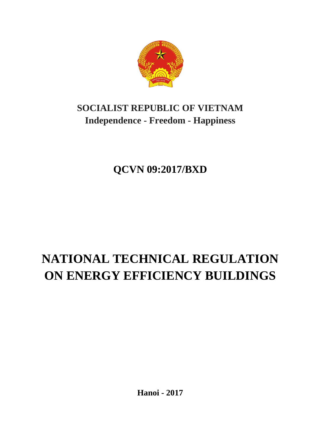

# **SOCIALIST REPUBLIC OF VIETNAM Independence - Freedom - Happiness**

# **QCVN 09:2017/BXD**

# **NATIONAL TECHNICAL REGULATION ON ENERGY EFFICIENCY BUILDINGS**

**Hanoi - 2017**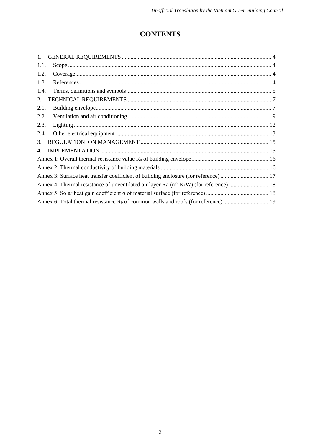# **CONTENTS**

| 1.   |                                                                                      |
|------|--------------------------------------------------------------------------------------|
| 1.1. |                                                                                      |
| 1.2. |                                                                                      |
| 1.3. |                                                                                      |
| 1.4. |                                                                                      |
| 2.   |                                                                                      |
| 2.1. |                                                                                      |
| 2.2. |                                                                                      |
| 2.3. |                                                                                      |
| 2.4. |                                                                                      |
| 3.   |                                                                                      |
| 4.   |                                                                                      |
|      |                                                                                      |
|      |                                                                                      |
|      | Annex 3: Surface heat transfer coefficient of building enclosure (for reference)  17 |
|      |                                                                                      |
|      |                                                                                      |
|      |                                                                                      |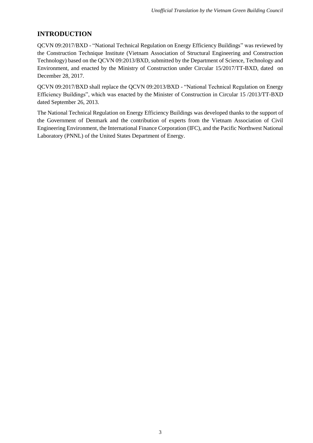# **INTRODUCTION**

QCVN 09:2017/BXD - "National Technical Regulation on Energy Efficiency Buildings" was reviewed by the Construction Technique Institute (Vietnam Association of Structural Engineering and Construction Technology) based on the QCVN 09:2013/BXD, submitted by the Department of Science, Technology and Environment, and enacted by the Ministry of Construction under Circular 15/2017/TT-BXD, dated on December 28, 2017.

QCVN 09:2017/BXD shall replace the QCVN 09:2013/BXD - "National Technical Regulation on Energy Efficiency Buildings", which was enacted by the Minister of Construction in Circular 15 /2013/TT-BXD dated September 26, 2013.

The National Technical Regulation on Energy Efficiency Buildings was developed thanks to the support of the Government of Denmark and the contribution of experts from the Vietnam Association of Civil Engineering Environment, the International Finance Corporation (IFC), and the Pacific Northwest National Laboratory (PNNL) of the United States Department of Energy.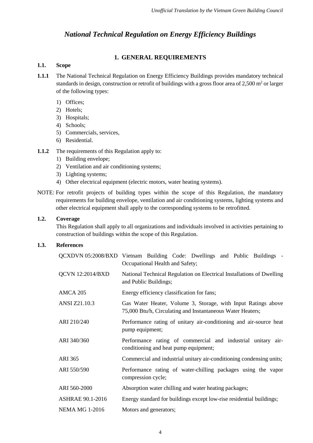# *National Technical Regulation on Energy Efficiency Buildings*

# **1. GENERAL REQUIREMENTS**

# <span id="page-3-1"></span><span id="page-3-0"></span>**1.1. Scope**

- **1.1.1** The National Technical Regulation on Energy Efficiency Buildings provides mandatory technical standards in design, construction or retrofit of buildings with a gross floor area of 2,500 m<sup>2</sup> or larger of the following types:
	- 1) Offices;
	- 2) Hotels;
	- 3) Hospitals;
	- 4) Schools;
	- 5) Commercials, services,
	- 6) Residential.
- **1.1.2** The requirements of this Regulation apply to:
	- 1) Building envelope;
	- 2) Ventilation and air conditioning systems;
	- 3) Lighting systems;
	- 4) Other electrical equipment (electric motors, water heating systems).
- NOTE: For retrofit projects of building types within the scope of this Regulation, the mandatory requirements for building envelope, ventilation and air conditioning systems, lighting systems and other electrical equipment shall apply to the corresponding systems to be retrofitted.

# <span id="page-3-2"></span>**1.2. Coverage**

This Regulation shall apply to all organizations and individuals involved in activities pertaining to construction of buildings within the scope of this Regulation.

# <span id="page-3-3"></span>**1.3. References**

|                         | QCXDVN 05:2008/BXD Vietnam Building Code: Dwellings and Public Buildings -<br>Occupational Health and Safety;               |  |  |  |  |  |  |
|-------------------------|-----------------------------------------------------------------------------------------------------------------------------|--|--|--|--|--|--|
| <b>QCVN 12:2014/BXD</b> | National Technical Regulation on Electrical Installations of Dwelling<br>and Public Buildings;                              |  |  |  |  |  |  |
| <b>AMCA 205</b>         | Energy efficiency classification for fans;                                                                                  |  |  |  |  |  |  |
| ANSI Z21.10.3           | Gas Water Heater, Volume 3, Storage, with Input Ratings above<br>75,000 Btu/h, Circulating and Instantaneous Water Heaters; |  |  |  |  |  |  |
| ARI 210/240             | Performance rating of unitary air-conditioning and air-source heat<br>pump equipment;                                       |  |  |  |  |  |  |
| ARI 340/360             | Performance rating of commercial and industrial unitary air-<br>conditioning and heat pump equipment;                       |  |  |  |  |  |  |
| <b>ARI 365</b>          | Commercial and industrial unitary air-conditioning condensing units;                                                        |  |  |  |  |  |  |
| ARI 550/590             | Performance rating of water-chilling packages using the vapor<br>compression cycle;                                         |  |  |  |  |  |  |
| ARI 560-2000            | Absorption water chilling and water heating packages;                                                                       |  |  |  |  |  |  |
| <b>ASHRAE 90.1-2016</b> | Energy standard for buildings except low-rise residential buildings;                                                        |  |  |  |  |  |  |
| <b>NEMA MG 1-2016</b>   | Motors and generators;                                                                                                      |  |  |  |  |  |  |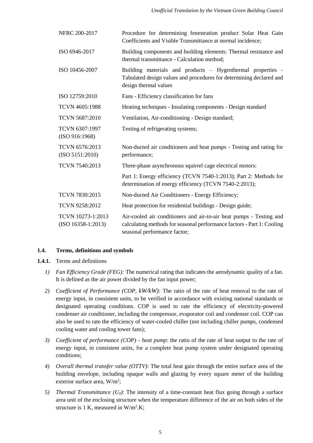| NFRC 200-2017                             | Procedure for determining fenestration product Solar Heat Gain<br>Coefficients and Visible Transmittance at normal incidence;                                                 |  |  |  |  |
|-------------------------------------------|-------------------------------------------------------------------------------------------------------------------------------------------------------------------------------|--|--|--|--|
| ISO 6946-2017                             | Building components and building elements: Thermal resistance and<br>thermal transmittance - Calculation method;                                                              |  |  |  |  |
| ISO 10456-2007                            | Building materials and products - Hygrothermal properties -<br>Tabulated design values and procedures for determining declared and<br>design thermal values                   |  |  |  |  |
| ISO 12759:2010                            | Fans - Efficiency classification for fans                                                                                                                                     |  |  |  |  |
| TCVN 4605:1988                            | Heating techniques - Insulating components - Design standard                                                                                                                  |  |  |  |  |
| <b>TCVN 5687:2010</b>                     | Ventilation, Air-conditioning - Design standard;                                                                                                                              |  |  |  |  |
| TCVN 6307:1997<br>(ISO 916:1968)          | Testing of refrigerating systems;                                                                                                                                             |  |  |  |  |
| TCVN 6576:2013<br>(ISO 5151:2010)         | Non-ducted air conditioners and heat pumps - Testing and rating for<br>performance;                                                                                           |  |  |  |  |
| TCVN 7540:2013                            | Three-phase asynchronous squirrel cage electrical motors:                                                                                                                     |  |  |  |  |
|                                           | Part 1: Energy efficiency (TCVN 7540-1:2013); Part 2: Methods for<br>determination of energy efficiency (TCVN 7540-2:2013);                                                   |  |  |  |  |
| TCVN 7830:2015                            | Non-ducted Air Conditioners - Energy Efficiency;                                                                                                                              |  |  |  |  |
| TCVN 9258:2012                            | Heat protection for residential buildings - Design guide;                                                                                                                     |  |  |  |  |
| TCVN 10273-1:2013<br>$(ISO 16358-1:2013)$ | Air-cooled air conditioners and air-to-air heat pumps - Testing and<br>calculating methods for seasonal performance factors - Part 1: Cooling<br>seasonal performance factor; |  |  |  |  |

# <span id="page-4-0"></span>**1.4. Terms, definitions and symbols**

- **1.4.1.** Terms and definitions
	- *1) Fan Efficiency Grade (FEG):* The numerical rating that indicates the aerodynamic quality of a fan. It is defined as the air power divided by the fan input power;
	- *2) Coefficient of Performance (COP, kW/kW):* The ratio of the rate of heat removal to the rate of energy input, in consistent units, to be verified in accordance with existing national standards or designated operating conditions. COP is used to rate the efficiency of electricity-powered condenser air conditioner, including the compressor, evaporator coil and condenser coil. COP can also be used to rate the efficiency of water-cooled chiller (not including chiller pumps, condensed cooling water and cooling tower fans);
	- *3) Coefficient of performance (COP) - heat pump*: the ratio of the rate of heat output to the rate of energy input, in consistent units, for a complete heat pump system under designated operating conditions;
	- *4) Overall thermal transfer value (OTTV)*: The total heat gain through the entire surface area of the building envelope, including opaque walls and glazing by every square meter of the building exterior surface area, W/m<sup>2</sup>;
	- *5) Thermal Transmittance (U0)*: The intensity of a time-constant heat flux going through a surface area unit of the enclosing structure when the temperature difference of the air on both sides of the structure is 1 K, measured in  $W/m^2$ .K;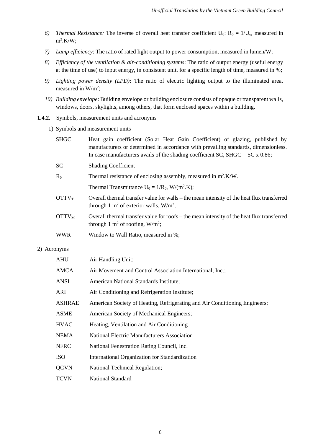- *6) Thermal Resistance:* The inverse of overall heat transfer coefficient  $U_0$ :  $R_0 = 1/U_0$ , measured in  $m^2$ .K/W;
- *7) Lamp efficiency*: The ratio of rated light output to power consumption, measured in lumen/W;
- *8) Efficiency of the ventilation & air-conditioning systems*: The ratio of output energy (useful energy at the time of use) to input energy, in consistent unit, for a specific length of time, measured in %;
- *9) Lighting power density (LPD)*: The ratio of electric lighting output to the illuminated area, measured in  $W/m^2$ ;
- *10) Building envelope*: Building envelope or building enclosure consists of opaque or transparent walls, windows, doors, skylights, among others, that form enclosed spaces within a building.

#### **1.4.2.** Symbols, measurement units and acronyms

1) Symbols and measurement units

|                                                                                | <b>SHGC</b>                             | Heat gain coefficient (Solar Heat Gain Coefficient) of glazing, published by<br>manufacturers or determined in accordance with prevailing standards, dimensionless.<br>In case manufacturers avails of the shading coefficient SC, SHGC = $SC x 0.86$ ; |  |  |
|--------------------------------------------------------------------------------|-----------------------------------------|---------------------------------------------------------------------------------------------------------------------------------------------------------------------------------------------------------------------------------------------------------|--|--|
|                                                                                | <b>SC</b><br><b>Shading Coefficient</b> |                                                                                                                                                                                                                                                         |  |  |
|                                                                                | $R_0$                                   | Thermal resistance of enclosing assembly, measured in $m^2$ .K/W.                                                                                                                                                                                       |  |  |
|                                                                                |                                         | Thermal Transmittance $U_0 = 1/R_0$ , W/(m <sup>2</sup> .K);                                                                                                                                                                                            |  |  |
|                                                                                | <b>OTTV</b> <sub>T</sub>                | Overall thermal transfer value for walls – the mean intensity of the heat flux transferred<br>through 1 m <sup>2</sup> of exterior walls, $W/m^2$ ;                                                                                                     |  |  |
| $\mathrm{OTTV}_{\mathrm{M}}$<br>through 1 m <sup>2</sup> of roofing, $W/m^2$ ; |                                         | Overall thermal transfer value for roofs – the mean intensity of the heat flux transferred                                                                                                                                                              |  |  |
|                                                                                | <b>WWR</b>                              | Window to Wall Ratio, measured in %;                                                                                                                                                                                                                    |  |  |
| 2) Acronyms                                                                    |                                         |                                                                                                                                                                                                                                                         |  |  |
|                                                                                | <b>AHU</b>                              | Air Handling Unit;                                                                                                                                                                                                                                      |  |  |
|                                                                                | <b>AMCA</b>                             | Air Movement and Control Association International, Inc.;                                                                                                                                                                                               |  |  |
|                                                                                | <b>ANSI</b>                             | American National Standards Institute;                                                                                                                                                                                                                  |  |  |
|                                                                                | ARI                                     | Air Conditioning and Refrigeration Institute;                                                                                                                                                                                                           |  |  |

- ASHRAE American Society of Heating, Refrigerating and Air Conditioning Engineers;
- ASME American Society of Mechanical Engineers;
- HVAC Heating, Ventilation and Air Conditioning
- NEMA National Electric Manufacturers Association
- NFRC National Fenestration Rating Council, Inc.
- ISO International Organization for Standardization
- QCVN National Technical Regulation;
- TCVN National Standard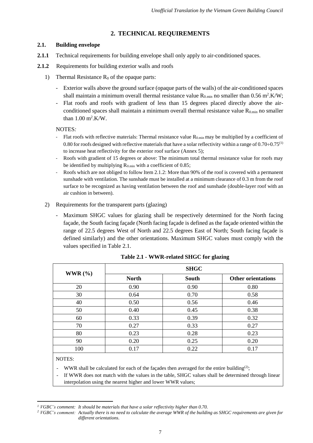# **2. TECHNICAL REQUIREMENTS**

# <span id="page-6-1"></span><span id="page-6-0"></span>**2.1. Building envelope**

- **2.1.1** Technical requirements for building envelope shall only apply to air-conditioned spaces.
- **2.1.2** Requirements for building exterior walls and roofs
	- 1) Thermal Resistance  $R_0$  of the opaque parts:
		- Exterior walls above the ground surface (opaque parts of the walls) of the air-conditioned spaces shall maintain a minimum overall thermal resistance value  $R_{0,min}$  no smaller than 0.56 m<sup>2</sup>.K/W;
		- Flat roofs and roofs with gradient of less than 15 degrees placed directly above the airconditioned spaces shall maintain a minimum overall thermal resistance value  $R_{0,min}$  no smaller than  $1.00 \text{ m}^2$ .K/W.

NOTES*:*

- Flat roofs with reflective materials: Thermal resistance value  $R_{0,min}$  may be multiplied by a coefficient of 0.80 for roofs designed with reflective materials that have a solar reflectivity within a range of  $0.70 \div 0.75^{(1)}$ to increase heat reflectivity for the exterior roof surface (Annex 5);
- Roofs with gradient of 15 degrees or above: The minimum total thermal resistance value for roofs may be identified by multiplying  $R_{0,min}$  with a coefficient of 0.85;
- Roofs which are not obliged to follow Item 2.1.2: More than 90% of the roof is covered with a permanent sunshade with ventilation. The sunshade must be installed at a minimum clearance of 0.3 m from the roof surface to be recognized as having ventilation between the roof and sunshade (double-layer roof with an air cushion in between).
- 2) Requirements for the transparent parts (glazing)
	- Maximum SHGC values for glazing shall be respectively determined for the North facing façade, the South facing façade (North facing façade is defined as the façade oriented within the range of 22.5 degrees West of North and 22.5 degrees East of North; South facing façade is defined similarly) and the other orientations. Maximum SHGC values must comply with the values specified in Table 2.1.

|             | <b>SHGC</b>  |              |                           |  |  |
|-------------|--------------|--------------|---------------------------|--|--|
| WWR $(\% )$ | <b>North</b> | <b>South</b> | <b>Other orientations</b> |  |  |
| 20          | 0.90         | 0.90         | 0.80                      |  |  |
| 30          | 0.64         | 0.70         | 0.58                      |  |  |
| 40          | 0.50         | 0.56         | 0.46                      |  |  |
| 50          | 0.40         | 0.45         | 0.38                      |  |  |
| 60          | 0.33         | 0.39         | 0.32                      |  |  |
| 70          | 0.27         | 0.33         | 0.27                      |  |  |
| 80          | 0.23         | 0.28         | 0.23                      |  |  |
| 90          | 0.20         | 0.25         | 0.20                      |  |  |
| 100         | 0.17         | 0.22         | 0.17                      |  |  |

**Table 2.1 - WWR-related SHGC for glazing**

NOTES:

 $\overline{\phantom{a}}$ 

- WWR shall be calculated for each of the façades then averaged for the entire building<sup>(2)</sup>;
- If WWR does not match with the values in the table, SHGC values shall be determined through linear interpolation using the nearest higher and lower WWR values;

*<sup>1</sup> VGBC's comment: It should be materials that have a solar reflectivity higher than 0.70.*

*<sup>2</sup> VGBC's comment: Actually there is no need to calculate the average WWR of the building as SHGC requirements are given for different orientations.*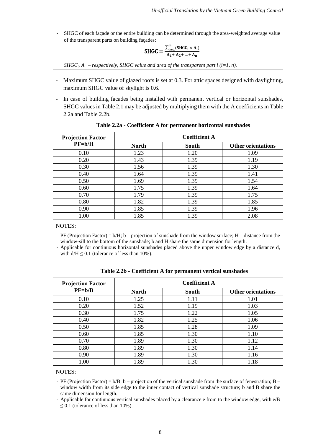- SHGC of each façade or the entire building can be determined through the area-weighted average value of the transparent parts on building façades:

$$
SHGC = \frac{\sum_{i=1}^{n} (SHGC_i \times A_i)}{A_1 + A_2 + ... + A_n}
$$

*SHGC*<sup>*i*</sup>*, A<sub><i>i*</sub> – *respectively, SHGC value and area of the transparent part i (i=1, n).* 

- Maximum SHGC value of glazed roofs is set at 0.3. For attic spaces designed with daylighting, maximum SHGC value of skylight is 0.6.
- In case of building facades being installed with permanent vertical or horizontal sunshades, SHGC values in Table 2.1 may be adjusted by multiplying them with the A coefficients in Table 2.2a and Table 2.2b.

| <b>Projection Factor</b> | <b>Coefficient A</b>  |      |                           |  |
|--------------------------|-----------------------|------|---------------------------|--|
| $PF=b/H$                 | <b>North</b><br>South |      | <b>Other orientations</b> |  |
| 0.10                     | 1.23                  | 1.20 | 1.09                      |  |
| 0.20                     | 1.43                  | 1.39 | 1.19                      |  |
| 0.30                     | 1.56                  | 1.39 | 1.30                      |  |
| 0.40                     | 1.64                  | 1.39 | 1.41                      |  |
| 0.50                     | 1.69                  | 1.39 | 1.54                      |  |
| 0.60                     | 1.75                  | 1.39 | 1.64                      |  |
| 0.70                     | 1.79                  | 1.39 | 1.75                      |  |
| 0.80                     | 1.82                  | 1.39 | 1.85                      |  |
| 0.90                     | 1.85                  | 1.39 | 1.96                      |  |
| 1.00                     | 1.85                  | 1.39 | 2.08                      |  |

**Table 2.2a - Coefficient A for permanent horizontal sunshades**

NOTES:

- PF (Projection Factor) =  $b/H$ ;  $b$  – projection of sunshade from the window surface; H – distance from the window-sill to the bottom of the sunshade; b and H share the same dimension for length.

- Applicable for continuous horizontal sunshades placed above the upper window edge by a distance d, with  $d/H \leq 0.1$  (tolerance of less than 10%).

| <b>Projection Factor</b> | <b>Coefficient A</b> |       |                           |  |
|--------------------------|----------------------|-------|---------------------------|--|
| $PF=b/B$                 | <b>North</b>         | South | <b>Other orientations</b> |  |
| 0.10                     | 1.25                 | 1.11  | 1.01                      |  |
| 0.20                     | 1.52                 | 1.19  | 1.03                      |  |
| 0.30                     | 1.75                 | 1.22  | 1.05                      |  |
| 0.40                     | 1.82                 | 1.25  | 1.06                      |  |
| 0.50                     | 1.85                 | 1.28  | 1.09                      |  |
| 0.60                     | 1.85                 | 1.30  | 1.10                      |  |
| 0.70                     | 1.89                 | 1.30  | 1.12                      |  |
| 0.80                     | 1.89                 | 1.30  | 1.14                      |  |
| 0.90                     | 1.89                 | 1.30  | 1.16                      |  |
| 1.00                     | 1.89                 | 1.30  | 1.18                      |  |

**Table 2.2b - Coefficient A for permanent vertical sunshades**

NOTES:

- PF (Projection Factor) = b/B; b – projection of the vertical sunshade from the surface of fenestration; B – window width from its side edge to the inner contact of vertical sunshade structure; b and B share the same dimension for length.

- Applicable for continuous vertical sunshades placed by a clearance e from to the window edge, with e/B  $\leq$  0.1 (tolerance of less than 10%).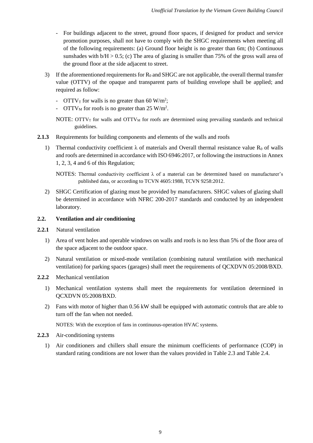- For buildings adjacent to the street, ground floor spaces, if designed for product and service promotion purposes, shall not have to comply with the SHGC requirements when meeting all of the following requirements: (a) Ground floor height is no greater than 6m; (b) Continuous sunshades with  $b/H > 0.5$ ; (c) The area of glazing is smaller than 75% of the gross wall area of the ground floor at the side adjacent to street.
- 3) If the aforementioned requirements for  $R_0$  and SHGC are not applicable, the overall thermal transfer value (OTTV) of the opaque and transparent parts of building envelope shall be applied; and required as follow:
	- $\text{OTTV}_T$  for walls is no greater than 60 W/m<sup>2</sup>;
	- OTTV<sub>M</sub> for roofs is no greater than  $25 \text{ W/m}^2$ .
	- NOTE:  $\text{OTTV}_T$  for walls and  $\text{OTTV}_M$  for roofs are determined using prevailing standards and technical guidelines.
- **2.1.3** Requirements for building components and elements of the walls and roofs
	- 1) Thermal conductivity coefficient  $\lambda$  of materials and Overall thermal resistance value R<sub>0</sub> of walls and roofs are determined in accordance with ISO 6946:2017, or following the instructions in Annex 1, 2, 3, 4 and 6 of this Regulation;

NOTES: Thermal conductivity coefficient  $\lambda$  of a material can be determined based on manufacturer's published data, or according to TCVN 4605:1988, TCVN 9258:2012.

2) SHGC Certification of glazing must be provided by manufacturers. SHGC values of glazing shall be determined in accordance with NFRC 200-2017 standards and conducted by an independent laboratory.

# <span id="page-8-0"></span>**2.2. Ventilation and air conditioning**

- **2.2.1** Natural ventilation
	- 1) Area of vent holes and operable windows on walls and roofs is no less than 5% of the floor area of the space adjacent to the outdoor space.
	- 2) Natural ventilation or mixed-mode ventilation (combining natural ventilation with mechanical ventilation) for parking spaces (garages) shall meet the requirements of QCXDVN 05:2008/BXD.
- **2.2.2** Mechanical ventilation
	- 1) Mechanical ventilation systems shall meet the requirements for ventilation determined in QCXDVN 05:2008/BXD.
	- 2) Fans with motor of higher than 0.56 kW shall be equipped with automatic controls that are able to turn off the fan when not needed.

NOTES: With the exception of fans in continuous-operation HVAC systems.

- **2.2.3** Air-conditioning systems
	- 1) Air conditioners and chillers shall ensure the minimum coefficients of performance (COP) in standard rating conditions are not lower than the values provided in Table 2.3 and Table 2.4.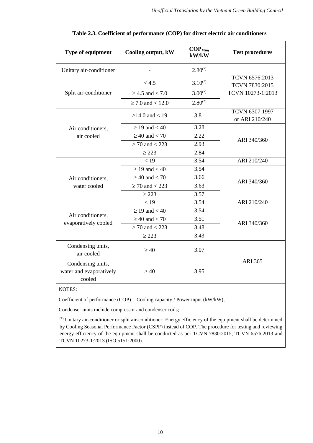| <b>Type of equipment</b><br>Cooling output, kW         |                       | COP <sub>Min</sub><br>$k$ W/ $k$ W | <b>Test procedures</b>           |  |  |
|--------------------------------------------------------|-----------------------|------------------------------------|----------------------------------|--|--|
| Unitary air-conditioner                                |                       | $2.80^{(*)}$                       |                                  |  |  |
|                                                        | < 4.5                 | $3.10^{(*)}$                       | TCVN 6576:2013<br>TCVN 7830:2015 |  |  |
| Split air-conditioner                                  | $\geq$ 4.5 and < 7.0  | $3.00^{(*)}$                       | TCVN 10273-1:2013                |  |  |
|                                                        | $\geq 7.0$ and < 12.0 | $2.80^{(*)}$                       |                                  |  |  |
|                                                        | $≥14.0$ and < 19      | 3.81                               | TCVN 6307:1997<br>or ARI 210/240 |  |  |
| Air conditioners,                                      | $\geq$ 19 and < 40    | 3.28                               |                                  |  |  |
| air cooled                                             | $\geq 40$ and $< 70$  | 2.22                               | ARI 340/360                      |  |  |
|                                                        | $\geq$ 70 and < 223   | 2.93                               |                                  |  |  |
|                                                        | $\geq$ 223            | 2.84                               |                                  |  |  |
|                                                        | < 19                  | 3.54                               | ARI 210/240                      |  |  |
|                                                        | $\geq$ 19 and < 40    | 3.54                               |                                  |  |  |
| Air conditioners,                                      | $\geq 40$ and $< 70$  | 3.66                               | ARI 340/360                      |  |  |
| water cooled                                           | $\geq$ 70 and < 223   | 3.63                               |                                  |  |  |
|                                                        | $\geq$ 223            | 3.57                               |                                  |  |  |
|                                                        | < 19                  | 3.54                               | ARI 210/240                      |  |  |
| Air conditioners,                                      | $\geq$ 19 and $<$ 40  | 3.54                               |                                  |  |  |
| evaporatively cooled                                   | $\geq 40$ and $< 70$  | 3.51                               | ARI 340/360                      |  |  |
|                                                        | $\geq$ 70 and < 223   | 3.48                               |                                  |  |  |
|                                                        | $\geq$ 223            | 3.43                               |                                  |  |  |
| Condensing units,<br>air cooled                        | $\geq 40$             | 3.07                               |                                  |  |  |
| Condensing units,<br>water and evaporatively<br>cooled | $\geq 40$             | 3.95                               | <b>ARI 365</b>                   |  |  |

|  | Table 2.3. Coefficient of performance (COP) for direct electric air conditioners |
|--|----------------------------------------------------------------------------------|
|--|----------------------------------------------------------------------------------|

# NOTES*:*

Coefficient of performance (COP) = Cooling capacity / Power input (kW/kW);

Condenser units include compressor and condenser coils;

(\*) Unitary air-conditioner or split air-conditioner: Energy efficiency of the equipment shall be determined by Cooling Seasonal Performance Factor (CSPF) instead of COP. The procedure for testing and reviewing energy efficiency of the equipment shall be conducted as per TCVN 7830:2015, TCVN 6576:2013 and TCVN 10273-1:2013 (ISO 5151:2000).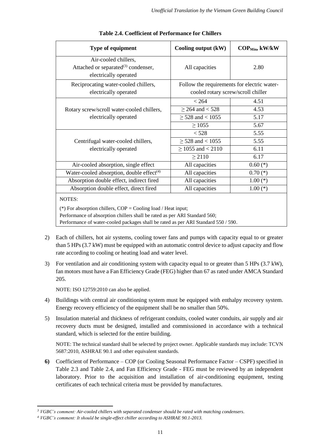| Type of equipment                                                                                                                                                                                                                                    | Cooling output (kW)                                                               | $\mathbf{COP}_{\text{Min}}, \mathbf{kW}/\mathbf{kW}$ |  |  |
|------------------------------------------------------------------------------------------------------------------------------------------------------------------------------------------------------------------------------------------------------|-----------------------------------------------------------------------------------|------------------------------------------------------|--|--|
| Air-cooled chillers,<br>Attached or separated $^{(3)}$ condenser,<br>electrically operated                                                                                                                                                           | All capacities                                                                    | 2.80                                                 |  |  |
| Reciprocating water-cooled chillers,<br>electrically operated                                                                                                                                                                                        | Follow the requirements for electric water-<br>cooled rotary screw/scroll chiller |                                                      |  |  |
|                                                                                                                                                                                                                                                      | < 264                                                                             | 4.51                                                 |  |  |
| Rotary screw/scroll water-cooled chillers,                                                                                                                                                                                                           | $\geq$ 264 and < 528                                                              | 4.53                                                 |  |  |
| electrically operated                                                                                                                                                                                                                                | $\geq$ 528 and < 1055                                                             | 5.17                                                 |  |  |
|                                                                                                                                                                                                                                                      | $\geq 1055$                                                                       | 5.67                                                 |  |  |
|                                                                                                                                                                                                                                                      | < 528                                                                             | 5.55                                                 |  |  |
| Centrifugal water-cooled chillers,                                                                                                                                                                                                                   | $\geq$ 528 and < 1055                                                             | 5.55                                                 |  |  |
| electrically operated                                                                                                                                                                                                                                | $\geq$ 1055 and < 2110                                                            | 6.11                                                 |  |  |
|                                                                                                                                                                                                                                                      | $\geq 2110$                                                                       | 6.17                                                 |  |  |
| Air-cooled absorption, single effect                                                                                                                                                                                                                 | All capacities                                                                    | $0.60$ (*)                                           |  |  |
| Water-cooled absorption, double effect <sup>(4)</sup>                                                                                                                                                                                                | All capacities                                                                    | $0.70$ (*)                                           |  |  |
| Absorption double effect, indirect fired                                                                                                                                                                                                             | All capacities                                                                    | $1.00$ (*)                                           |  |  |
| Absorption double effect, direct fired                                                                                                                                                                                                               | All capacities                                                                    | $1.00$ (*)                                           |  |  |
| <b>NOTES:</b><br>(*) For absorption chillers, $COP =$ Cooling load / Heat input;<br>Performance of absorption chillers shall be rated as per ARI Standard 560;<br>Performance of water-cooled packages shall be rated as per ARI Standard 550 / 590. |                                                                                   |                                                      |  |  |

#### **Table 2.4. Coefficient of Performance for Chillers**

2) Each of chillers, hot air systems, cooling tower fans and pumps with capacity equal to or greater than 5 HPs (3.7 kW) must be equipped with an automatic control device to adjust capacity and flow

rate according to cooling or heating load and water level.

3) For ventilation and air conditioning system with capacity equal to or greater than 5 HPs (3.7 kW), fan motors must have a Fan Efficiency Grade (FEG) higher than 67 as rated under AMCA Standard 205.

NOTE: ISO 12759:2010 can also be applied.

- 4) Buildings with central air conditioning system must be equipped with enthalpy recovery system. Energy recovery efficiency of the equipment shall be no smaller than 50%.
- 5) Insulation material and thickness of refrigerant conduits, cooled water conduits, air supply and air recovery ducts must be designed, installed and commissioned in accordance with a technical standard, which is selected for the entire building.

<span id="page-10-0"></span>NOTE: The technical standard shall be selected by project owner. Applicable standards may include: TCVN 5687:2010, ASHRAE 90.1 and other equivalent standards.

**6)** Coefficient of Performance – COP (or Cooling Seasonal Performance Factor – CSPF) specified in Table 2.3 and Table 2.4, and Fan Efficiency Grade - FEG must be reviewed by an independent laboratory. Prior to the acquisition and installation of air-conditioning equipment, testing certificates of each technical criteria must be provided by manufactures.

 $\overline{\phantom{a}}$ *<sup>3</sup> VGBC's comment: Air-cooled chillers with separated condenser should be rated with matching condensers.*

*<sup>4</sup> VGBC's comment: It should be single-effect chiller according to ASHRAE 90.1-2013.*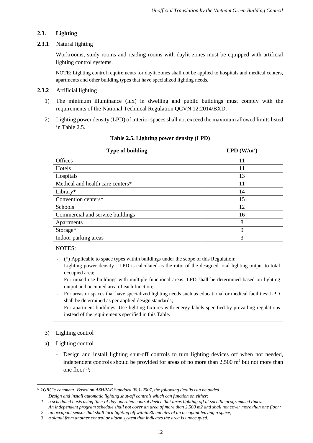# **2.3. Lighting**

#### **2.3.1** Natural lighting

Workrooms, study rooms and reading rooms with daylit zones must be equipped with artificial lighting control systems.

NOTE: Lighting control requirements for daylit zones shall not be applied to hospitals and medical centers, apartments and other building types that have specialized lighting needs.

#### **2.3.2** Artificial lighting

- 1) The minimum illuminance (lux) in dwelling and public buildings must comply with the requirements of the National Technical Regulation QCVN 12:2014/BXD.
- 2) Lighting power density (LPD) of interior spaces shall not exceed the maximum allowed limits listed in Table 2.5.

| <b>Type of building</b>          | LPD $(W/m^2)$ |
|----------------------------------|---------------|
| <b>Offices</b>                   | 11            |
| Hotels                           | 11            |
| Hospitals                        | 13            |
| Medical and health care centers* | 11            |
| Library $*$                      | 14            |
| Convention centers*              | 15            |
| Schools                          | 12            |
| Commercial and service buildings | 16            |
| Apartments                       | 8             |
| Storage*                         | 9             |
| Indoor parking areas             | 3             |
|                                  |               |

**Table 2.5. Lighting power density (LPD)**

NOTES:

- (\*) Applicable to space types within buildings under the scope of this Regulation;
- Lighting power density LPD is calculated as the ratio of the designed total lighting output to total occupied area;
- For mixed-use buildings with multiple functional areas: LPD shall be determined based on lighting output and occupied area of each function;
- For areas or spaces that have specialized lighting needs such as educational or medical facilities: LPD shall be determined as per applied design standards;
- For apartment buildings: Use lighting fixtures with energy labels specified by prevailing regulations instead of the requirements specified in this Table.

#### 3) Lighting control

- a) Lighting control
	- Design and install lighting shut-off controls to turn lighting devices off when not needed, independent controls should be provided for areas of no more than  $2,500$  m<sup>2</sup> but not more than one floor $(5)$ ;

 $\overline{a}$ *<sup>5</sup> VGBC's comment: Based on ASHRAE Standard 90.1-2007, the following details can be added:*

*Design and install automatic lighting shut-off controls which can function on either:*

*<sup>1.</sup> a scheduled basis using time-of-day operated control device that turns lighting off at specific programmed times.*

*An independent program schedule shall not cover an area of more than 2,500 m2 and shall not cover more than one floor;*

*<sup>2.</sup> an occupant sensor that shall turn lighting off within 30 minutes of an occupant leaving a space;*

*<sup>3.</sup> a signal from another control or alarm system that indicates the area is unoccupied.*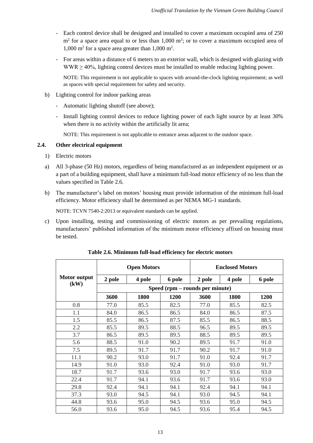- Each control device shall be designed and installed to cover a maximum occupied area of 250  $m<sup>2</sup>$  for a space area equal to or less than 1,000  $m<sup>2</sup>$ ; or to cover a maximum occupied area of  $1,000 \text{ m}^2$  for a space area greater than  $1,000 \text{ m}^2$ .
- For areas within a distance of 6 meters to an exterior wall, which is designed with glazing with WWR  $> 40\%$ , lighting control devices must be installed to enable reducing lighting power.

NOTE: This requirement is not applicable to spaces with around-the-clock lighting requirement; as well as spaces with special requirement for safety and security.

- b) Lighting control for indoor parking areas
	- Automatic lighting shutoff (see above);
	- Install lighting control devices to reduce lighting power of each light source by at least 30% when there is no activity within the artificially lit area;

NOTE: This requirement is not applicable to entrance areas adjacent to the outdoor space.

### <span id="page-12-0"></span>**2.4. Other electrical equipment**

- 1) Electric motors
- a) All 3-phase (50 Hz) motors, regardless of being manufactured as an independent equipment or as a part of a building equipment, shall have a minimum full-load motor efficiency of no less than the values specified in Table 2.6.
- b) The manufacturer's label on motors' housing must provide information of the minimum full-load efficiency. Motor efficiency shall be determined as per NEMA MG-1 standards.

NOTE: TCVN 7540-2:2013 or equivalent standards can be applied.

c) Upon installing, testing and commissioning of electric motors as per prevailing regulations, manufacturers' published information of the minimum motor efficiency affixed on housing must be tested.

|              | <b>Open Motors</b> |                                 |             |        | <b>Enclosed Motors</b> |        |  |
|--------------|--------------------|---------------------------------|-------------|--------|------------------------|--------|--|
| Motor output | 2 pole             | 4 pole                          | 6 pole      | 2 pole | 4 pole                 | 6 pole |  |
| (kW)         |                    | Speed (rpm – rounds per minute) |             |        |                        |        |  |
|              | 3600               | 1800                            | <b>1200</b> | 3600   | 1800                   | 1200   |  |
| 0.8          | 77.0               | 85.5                            | 82.5        | 77.0   | 85.5                   | 82.5   |  |
| 1.1          | 84.0               | 86.5                            | 86.5        | 84.0   | 86.5                   | 87.5   |  |
| 1.5          | 85.5               | 86.5                            | 87.5        | 85.5   | 86.5                   | 88.5   |  |
| 2.2          | 85.5               | 89.5                            | 88.5        | 96.5   | 89.5                   | 89.5   |  |
| 3.7          | 86.5               | 89.5                            | 89.5        | 88.5   | 89.5                   | 89.5   |  |
| 5.6          | 88.5               | 91.0                            | 90.2        | 89.5   | 91.7                   | 91.0   |  |
| 7.5          | 89.5               | 91.7                            | 91.7        | 90.2   | 91.7                   | 91.0   |  |
| 11.1         | 90.2               | 93.0                            | 91.7        | 91.0   | 92.4                   | 91.7   |  |
| 14.9         | 91.0               | 93.0                            | 92.4        | 91.0   | 93.0                   | 91.7   |  |
| 18.7         | 91.7               | 93.6                            | 93.0        | 91.7   | 93.6                   | 93.0   |  |
| 22.4         | 91.7               | 94.1                            | 93.6        | 91.7   | 93.6                   | 93.0   |  |
| 29.8         | 92.4               | 94.1                            | 94.1        | 92.4   | 94.1                   | 94.1   |  |
| 37.3         | 93.0               | 94.5                            | 94.1        | 93.0   | 94.5                   | 94.1   |  |
| 44.8         | 93.6               | 95.0                            | 94.5        | 93.6   | 95.0                   | 94.5   |  |
| 56.0         | 93.6               | 95.0                            | 94.5        | 93.6   | 95.4                   | 94.5   |  |

**Table 2.6. Minimum full-load efficiency for electric motors**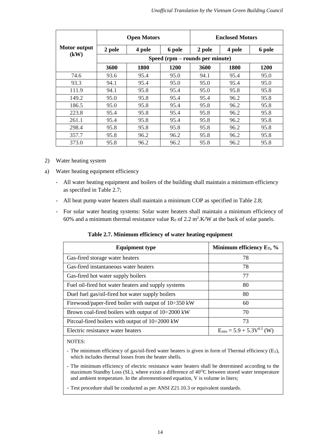|              | <b>Open Motors</b>              |             | <b>Enclosed Motors</b> |        |             |             |
|--------------|---------------------------------|-------------|------------------------|--------|-------------|-------------|
| Motor output | 2 pole                          | 4 pole      | 6 pole                 | 2 pole | 4 pole      | 6 pole      |
| (kW)         | Speed (rpm – rounds per minute) |             |                        |        |             |             |
|              | 3600                            | <b>1800</b> | 1200                   | 3600   | <b>1800</b> | <b>1200</b> |
| 74.6         | 93.6                            | 95.4        | 95.0                   | 94.1   | 95.4        | 95.0        |
| 93.3         | 94.1                            | 95.4        | 95.0                   | 95.0   | 95.4        | 95.0        |
| 111.9        | 94.1                            | 95.8        | 95.4                   | 95.0   | 95.8        | 95.8        |
| 149.2        | 95.0                            | 95.8        | 95.4                   | 95.4   | 96.2        | 95.8        |
| 186.5        | 95.0                            | 95.8        | 95.4                   | 95.8   | 96.2        | 95.8        |
| 223.8        | 95.4                            | 95.8        | 95.4                   | 95.8   | 96.2        | 95.8        |
| 261.1        | 95.4                            | 95.8        | 95.4                   | 95.8   | 96.2        | 95.8        |
| 298.4        | 95.8                            | 95.8        | 95.8                   | 95.8   | 96.2        | 95.8        |
| 357.7        | 95.8                            | 96.2        | 96.2                   | 95.8   | 96.2        | 95.8        |
| 373.0        | 95.8                            | 96.2        | 96.2                   | 95.8   | 96.2        | 95.8        |

- 2) Water heating system
- a) Water heating equipment efficiency
	- All water heating equipment and boilers of the building shall maintain a minimum efficiency as specified in Table 2.7;
	- All heat pump water heaters shall maintain a minimum COP as specified in Table 2.8;
	- For solar water heating systems: Solar water heaters shall maintain a minimum efficiency of 60% and a minimum thermal resistance value  $R_0$  of 2.2 m<sup>2</sup>.K/W at the back of solar panels.

**Table 2.7. Minimum efficiency of water heating equipment**

| <b>Equipment type</b>                                      | Minimum efficiency $E_T$ , %     |
|------------------------------------------------------------|----------------------------------|
| Gas-fired storage water heaters                            | 78                               |
| Gas-fired instantaneous water heaters                      | 78                               |
| Gas-fired hot water supply boilers                         | 77                               |
| Fuel oil-fired hot water heaters and supply systems        | 80                               |
| Duel fuel gas/oil-fired hot water supply boilers           | 80                               |
| Firewood/paper-fired boiler with output of $10\div 350$ kW | 60                               |
| Brown coal-fired boilers with output of $10\div 2000$ kW   | 70                               |
| Pitcoal-fired boilers with output of $10\div 2000$ kW      | 73                               |
| Electric resistance water heaters                          | $E_{min} = 5.9 + 5.3V^{0.5}$ (W) |

NOTES:

- The minimum efficiency of gas/oil-fired water heaters is given in form of Thermal efficiency  $(E_T)$ , which includes thermal losses from the heater shells.
- The minimum efficiency of electric resistance water heaters shall be determined according to the maximum Standby Loss (SL), where exists a difference of  $40^{\circ}$ C between stored water temperature and ambient temperature. In the aforementioned equation, V is volume in liters;
- Test procedure shall be conducted as per ANSI Z21.10.3 or equivalent standards.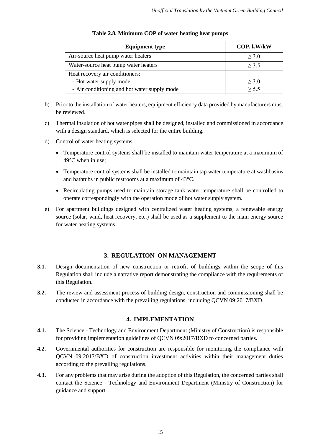| <b>Equipment type</b>                        | COP, kW/kW |
|----------------------------------------------|------------|
| Air-source heat pump water heaters           | $\geq 3.0$ |
| Water-source heat pump water heaters         | $\geq$ 3.5 |
| Heat recovery air conditioners:              |            |
| - Hot water supply mode                      | $\geq 3.0$ |
| - Air conditioning and hot water supply mode | > 5.5      |

|  |  | Table 2.8. Minimum COP of water heating heat pumps |
|--|--|----------------------------------------------------|
|--|--|----------------------------------------------------|

- b) Prior to the installation of water heaters, equipment efficiency data provided by manufacturers must be reviewed.
- c) Thermal insulation of hot water pipes shall be designed, installed and commissioned in accordance with a design standard, which is selected for the entire building.
- d) Control of water heating systems
	- Temperature control systems shall be installed to maintain water temperature at a maximum of 49°C when in use;
	- Temperature control systems shall be installed to maintain tap water temperature at washbasins and bathtubs in public restrooms at a maximum of 43°C.
	- Recirculating pumps used to maintain storage tank water temperature shall be controlled to operate correspondingly with the operation mode of hot water supply system.
- e) For apartment buildings designed with centralized water heating systems, a renewable energy source (solar, wind, heat recovery, etc.) shall be used as a supplement to the main energy source for water heating systems.

# **3. REGULATION ON MANAGEMENT**

- <span id="page-14-0"></span>**3.1.** Design documentation of new construction or retrofit of buildings within the scope of this Regulation shall include a narrative report demonstrating the compliance with the requirements of this Regulation.
- **3.2.** The review and assessment process of building design, construction and commissioning shall be conducted in accordance with the prevailing regulations, including QCVN 09:2017/BXD.

# **4. IMPLEMENTATION**

- <span id="page-14-1"></span>**4.1.** The Science - Technology and Environment Department (Ministry of Construction) is responsible for providing implementation guidelines of QCVN 09:2017/BXD to concerned parties.
- **4.2.** Governmental authorities for construction are responsible for monitoring the compliance with QCVN 09:2017/BXD of construction investment activities within their management duties according to the prevailing regulations.
- **4.3.** For any problems that may arise during the adoption of this Regulation, the concerned parties shall contact the Science - Technology and Environment Department (Ministry of Construction) for guidance and support.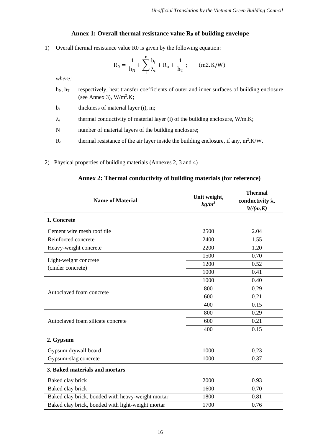# **Annex 1: Overall thermal resistance value R<sup>0</sup> of building envelope**

<span id="page-15-0"></span>1) Overall thermal resistance value R0 is given by the following equation:

$$
R_0 = \frac{1}{h_N} + \sum_{1}^{n} \frac{b_i}{\lambda_i} + R_a + \frac{1}{h_T} ; \qquad (m2. K/W)
$$

*where:*

- $h_N$ ,  $h_T$  respectively, heat transfer coefficients of outer and inner surfaces of building enclosure (see Annex 3),  $W/m^2$ .K;
- $b_i$  thickness of material layer (i), m;
- $\lambda_i$  thermal conductivity of material layer (i) of the building enclosure, W/m.K;
- N number of material layers of the building enclosure;
- $R_a$  thermal resistance of the air layer inside the building enclosure, if any, m<sup>2</sup>.K/W.
- 2) Physical properties of building materials (Annexes 2, 3 and 4)

<span id="page-15-1"></span>

| <b>Name of Material</b>                           | Unit weight,<br>$kg/m^3$ | <b>Thermal</b><br>conductivity $\lambda$ ,<br>W/(m.K) |  |  |
|---------------------------------------------------|--------------------------|-------------------------------------------------------|--|--|
| 1. Concrete                                       |                          |                                                       |  |  |
| Cement wire mesh roof tile                        | 2500                     | 2.04                                                  |  |  |
| Reinforced concrete                               | 2400                     | 1.55                                                  |  |  |
| Heavy-weight concrete                             | 2200                     | 1.20                                                  |  |  |
|                                                   | 1500                     | 0.70                                                  |  |  |
| Light-weight concrete                             | 1200                     | 0.52                                                  |  |  |
| (cinder concrete)<br>Autoclaved foam concrete     | 1000                     | 0.41                                                  |  |  |
|                                                   | 1000                     | 0.40                                                  |  |  |
|                                                   | 800                      | 0.29                                                  |  |  |
|                                                   | 600                      | 0.21                                                  |  |  |
|                                                   | 400                      | 0.15                                                  |  |  |
|                                                   | 800                      | 0.29                                                  |  |  |
| Autoclaved foam silicate concrete                 | 600                      | 0.21                                                  |  |  |
|                                                   | 400                      | 0.15                                                  |  |  |
| 2. Gypsum                                         |                          |                                                       |  |  |
| Gypsum drywall board                              | 1000                     | 0.23                                                  |  |  |
| Gypsum-slag concrete                              | 1000                     | 0.37                                                  |  |  |
| 3. Baked materials and mortars                    |                          |                                                       |  |  |
| Baked clay brick                                  | 2000                     | 0.93                                                  |  |  |
| Baked clay brick                                  | 1600                     | 0.70                                                  |  |  |
| Baked clay brick, bonded with heavy-weight mortar | 1800                     | 0.81                                                  |  |  |
| Baked clay brick, bonded with light-weight mortar | 1700                     | 0.76                                                  |  |  |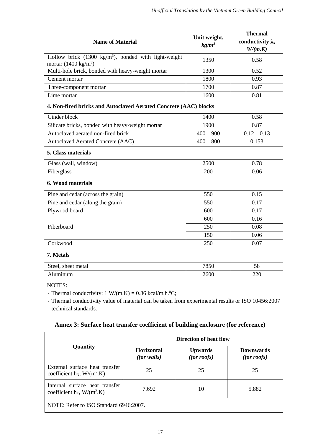| <b>Name of Material</b>                                                                           | Unit weight,<br>$kg/m^3$ | <b>Thermal</b><br>conductivity $\lambda$ ,<br>W/(m.K) |
|---------------------------------------------------------------------------------------------------|--------------------------|-------------------------------------------------------|
| Hollow brick $(1300 \text{ kg/m}^3)$ , bonded with light-weight<br>mortar $(1400 \text{ kg/m}^3)$ | 1350                     | 0.58                                                  |
| Multi-hole brick, bonded with heavy-weight mortar                                                 | 1300                     | 0.52                                                  |
| Cement mortar                                                                                     | 1800                     | 0.93                                                  |
| Three-component mortar                                                                            | 1700                     | 0.87                                                  |
| Lime mortar                                                                                       | 1600                     | 0.81                                                  |
| 4. Non-fired bricks and Autoclaved Aerated Concrete (AAC) blocks                                  |                          |                                                       |
| Cinder block                                                                                      | 1400                     | 0.58                                                  |
| Silicate bricks, bonded with heavy-weight mortar                                                  | 1900                     | 0.87                                                  |
| Autoclaved aerated non-fired brick                                                                | $400 - 900$              | $0.12 - 0.13$                                         |
| Autoclaved Aerated Concrete (AAC)                                                                 | $400 - 800$              | 0.153                                                 |
| 5. Glass materials                                                                                |                          |                                                       |
| Glass (wall, window)                                                                              | 2500                     | 0.78                                                  |
| Fiberglass                                                                                        | 200                      | 0.06                                                  |
| 6. Wood materials                                                                                 |                          |                                                       |
| Pine and cedar (across the grain)                                                                 | 550                      | 0.15                                                  |
| Pine and cedar (along the grain)                                                                  | 550                      | 0.17                                                  |
| Plywood board                                                                                     | 600                      | 0.17                                                  |
|                                                                                                   | 600                      | 0.16                                                  |
| Fiberboard                                                                                        | 250                      | 0.08                                                  |
|                                                                                                   | 150                      | 0.06                                                  |
| Corkwood                                                                                          | 250                      | 0.07                                                  |
| 7. Metals                                                                                         |                          |                                                       |
| Steel, sheet metal                                                                                | 7850                     | 58                                                    |
| Aluminum                                                                                          | 2600                     | 220                                                   |
| <b>NOTES:</b><br>- Thermal conductivity: $1 W/(m.K) = 0.86$ kcal/m.h. <sup>0</sup> C;             |                          |                                                       |

- Thermal conductivity value of material can be taken from experimental results or ISO 10456:2007 technical standards.

**Annex 3: Surface heat transfer coefficient of building enclosure (for reference)**

<span id="page-16-0"></span>

|                                                                             | Direction of heat flow    |                                   |                                     |  |
|-----------------------------------------------------------------------------|---------------------------|-----------------------------------|-------------------------------------|--|
| Quantity                                                                    | Horizontal<br>(for walls) | <b>Upwards</b><br>$(for\, roots)$ | <b>Downwards</b><br>$(for\, roots)$ |  |
| External surface heat transfer<br>coefficient $h_N$ , W/(m <sup>2</sup> .K) | 25                        | 25                                | 25                                  |  |
| Internal surface heat transfer<br>coefficient $h_T$ , W/(m <sup>2</sup> .K) | 7.692                     | 10                                | 5.882                               |  |
| NOTE: Refer to ISO Standard 6946:2007.                                      |                           |                                   |                                     |  |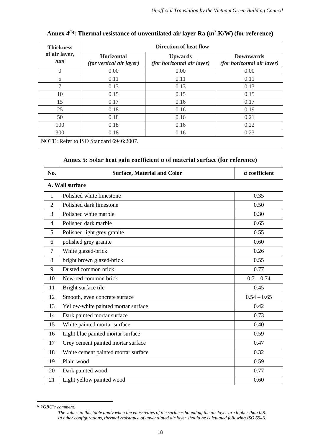<span id="page-17-0"></span>

| <b>Thickness</b>                       | Direction of heat flow                               |                                                     |                                                       |  |  |
|----------------------------------------|------------------------------------------------------|-----------------------------------------------------|-------------------------------------------------------|--|--|
| of air layer,<br>mm                    | <b>Horizontal</b><br><i>(for vertical air layer)</i> | <b>Upwards</b><br><i>(for horizontal air layer)</i> | <b>Downwards</b><br><i>(for horizontal air layer)</i> |  |  |
| $\theta$                               | 0.00                                                 | 0.00                                                | 0.00                                                  |  |  |
| 5                                      | 0.11                                                 | 0.11                                                | 0.11                                                  |  |  |
| 7                                      | 0.13                                                 | 0.13                                                | 0.13                                                  |  |  |
| 10                                     | 0.15                                                 | 0.15                                                | 0.15                                                  |  |  |
| 15                                     | 0.17                                                 | 0.16                                                | 0.17                                                  |  |  |
| 25                                     | 0.18                                                 | 0.16                                                | 0.19                                                  |  |  |
| 50                                     | 0.18                                                 | 0.16                                                | 0.21                                                  |  |  |
| 100                                    | 0.18                                                 | 0.16                                                | 0.22                                                  |  |  |
| 300                                    | 0.18                                                 | 0.16                                                | 0.23                                                  |  |  |
| NOTE: Refer to ISO Standard 6946:2007. |                                                      |                                                     |                                                       |  |  |

# **Annex 4(6) : Thermal resistance of unventilated air layer Ra (m<sup>2</sup> .K/W) (for reference)**

# **Annex 5: Solar heat gain coefficient α of material surface (for reference)**

<span id="page-17-1"></span>

| No.            | <b>Surface, Material and Color</b>  | a coefficient |  |  |  |
|----------------|-------------------------------------|---------------|--|--|--|
|                | A. Wall surface                     |               |  |  |  |
| $\mathbf{1}$   | Polished white limestone            | 0.35          |  |  |  |
| $\overline{2}$ | Polished dark limestone             | 0.50          |  |  |  |
| 3              | Polished white marble               | 0.30          |  |  |  |
| $\overline{4}$ | Polished dark marble                | 0.65          |  |  |  |
| 5              | Polished light grey granite         | 0.55          |  |  |  |
| 6              | polished grey granite               | 0.60          |  |  |  |
| $\overline{7}$ | White glazed-brick                  | 0.26          |  |  |  |
| 8              | bright brown glazed-brick           | 0.55          |  |  |  |
| 9              | Dusted common brick                 | 0.77          |  |  |  |
| 10             | New-red common brick                | $0.7 - 0.74$  |  |  |  |
| 11             | Bright surface tile                 | 0.45          |  |  |  |
| 12             | Smooth, even concrete surface       | $0.54 - 0.65$ |  |  |  |
| 13             | Yellow-white painted mortar surface | 0.42          |  |  |  |
| 14             | Dark painted mortar surface         | 0.73          |  |  |  |
| 15             | White painted mortar surface        | 0.40          |  |  |  |
| 16             | Light blue painted mortar surface   | 0.59          |  |  |  |
| 17             | Grey cement painted mortar surface  | 0.47          |  |  |  |
| 18             | White cement painted mortar surface | 0.32          |  |  |  |
| 19             | Plain wood                          | 0.59          |  |  |  |
| 20             | Dark painted wood                   | 0.77          |  |  |  |
| 21             | Light yellow painted wood           | 0.60          |  |  |  |

*VGBC's comment:*

 $\overline{\phantom{a}}$ 

*The values in this table apply when the emissivities of the surfaces bounding the air layer are higher than 0.8.* In other configurations, thermal resistance of unventilated air layer should be calculated following ISO 6946.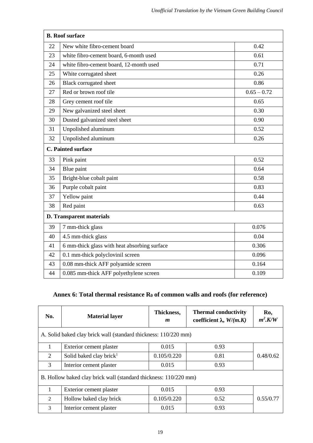| <b>B.</b> Roof surface |                                              |               |  |  |  |
|------------------------|----------------------------------------------|---------------|--|--|--|
| 22                     | New white fibro-cement board                 | 0.42          |  |  |  |
| 23                     | white fibro-cement board, 6-month used       | 0.61          |  |  |  |
| 24                     | white fibro-cement board, 12-month used      | 0.71          |  |  |  |
| 25                     | White corrugated sheet                       | 0.26          |  |  |  |
| 26                     | <b>Black corrugated sheet</b>                | 0.86          |  |  |  |
| 27                     | Red or brown roof tile                       | $0.65 - 0.72$ |  |  |  |
| 28                     | Grey cement roof tile                        | 0.65          |  |  |  |
| 29                     | New galvanized steel sheet                   | 0.30          |  |  |  |
| 30                     | Dusted galvanized steel sheet                | 0.90          |  |  |  |
| 31                     | Unpolished aluminum                          | 0.52          |  |  |  |
| 32                     | Unpolished aluminum                          | 0.26          |  |  |  |
|                        | <b>C. Painted surface</b>                    |               |  |  |  |
| 33                     | Pink paint                                   | 0.52          |  |  |  |
| 34                     | Blue paint                                   | 0.64          |  |  |  |
| 35                     | Bright-blue cobalt paint                     | 0.58          |  |  |  |
| 36                     | Purple cobalt paint                          | 0.83          |  |  |  |
| 37                     | Yellow paint                                 | 0.44          |  |  |  |
| 38                     | Red paint                                    | 0.63          |  |  |  |
|                        | <b>D. Transparent materials</b>              |               |  |  |  |
| 39                     | 7 mm-thick glass                             | 0.076         |  |  |  |
| 40                     | 4.5 mm-thick glass                           | 0.04          |  |  |  |
| 41                     | 6 mm-thick glass with heat absorbing surface | 0.306         |  |  |  |
| 42                     | 0.1 mm-thick polyclovinil screen             | 0.096         |  |  |  |
| 43                     | 0.08 mm-thick AFF polyamide screen           | 0.164         |  |  |  |
| 44                     | 0.085 mm-thick AFF polyethylene screen       | 0.109         |  |  |  |

# <span id="page-18-0"></span>**Annex 6: Total thermal resistance R<sup>0</sup> of common walls and roofs (for reference)**

| No.                                                              | <b>Material layer</b>                                           | Thickness,<br>$\boldsymbol{m}$ | <b>Thermal conductivity</b><br>coefficient $\lambda$ , $W/(m.K)$ | Ro,<br>$m^2$ .K/W |  |  |  |
|------------------------------------------------------------------|-----------------------------------------------------------------|--------------------------------|------------------------------------------------------------------|-------------------|--|--|--|
|                                                                  | A. Solid baked clay brick wall (standard thickness: 110/220 mm) |                                |                                                                  |                   |  |  |  |
|                                                                  | Exterior cement plaster                                         | 0.015                          | 0.93                                                             |                   |  |  |  |
| $\overline{2}$                                                   | Solid baked clay brick <sup>1</sup>                             | 0.105/0.220                    | 0.81                                                             | 0.48/0.62         |  |  |  |
| 3                                                                | Interior cement plaster                                         | 0.015                          | 0.93                                                             |                   |  |  |  |
| B. Hollow baked clay brick wall (standard thickness: 110/220 mm) |                                                                 |                                |                                                                  |                   |  |  |  |
|                                                                  | Exterior cement plaster                                         | 0.015                          | 0.93                                                             |                   |  |  |  |
| $\mathfrak{D}$                                                   | Hollow baked clay brick                                         | 0.105/0.220                    | 0.52                                                             | 0.55/0.77         |  |  |  |
| $\mathcal{F}$                                                    | Interior cement plaster                                         | 0.015                          | 0.93                                                             |                   |  |  |  |